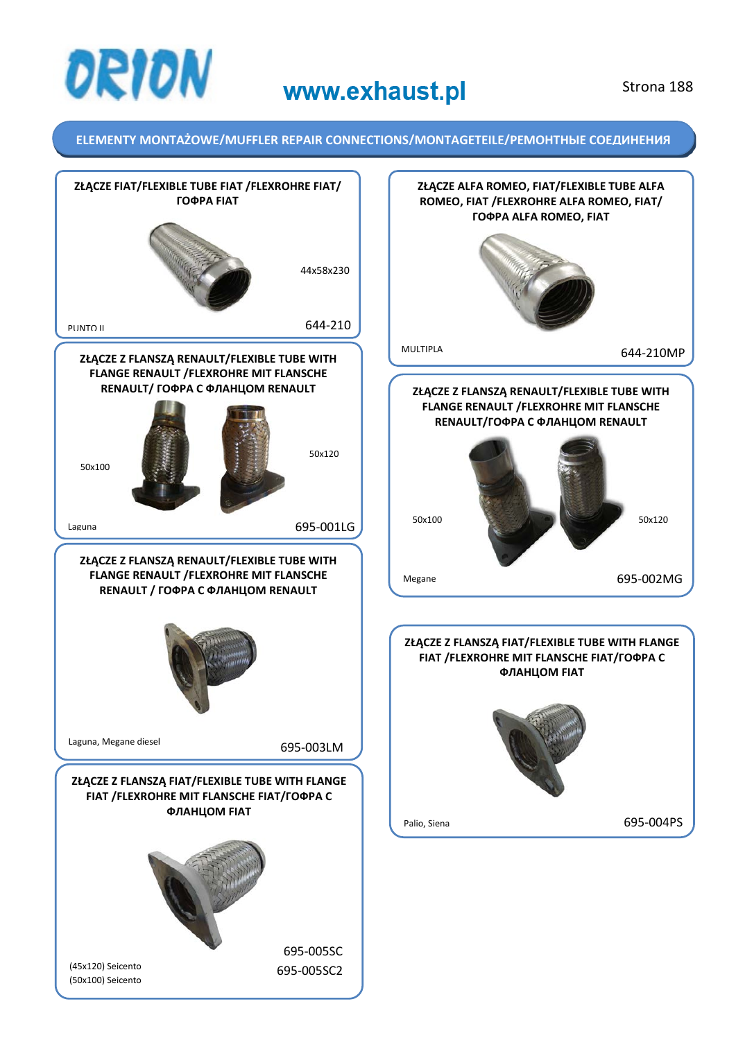

### Strona 188

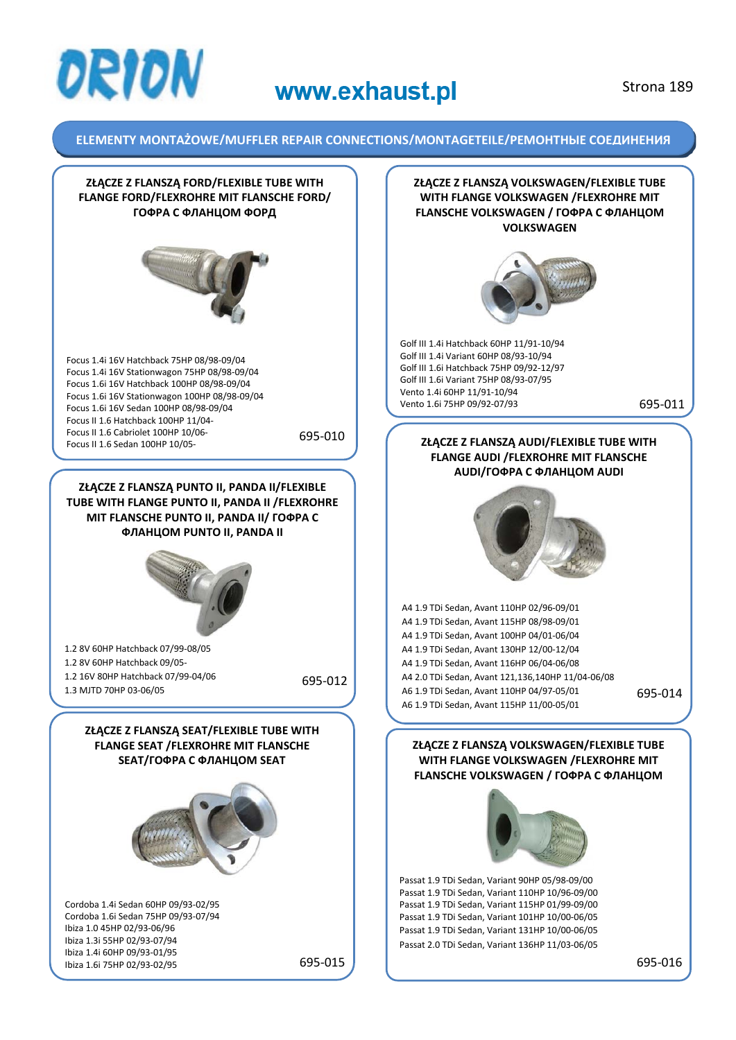

### Strona 189

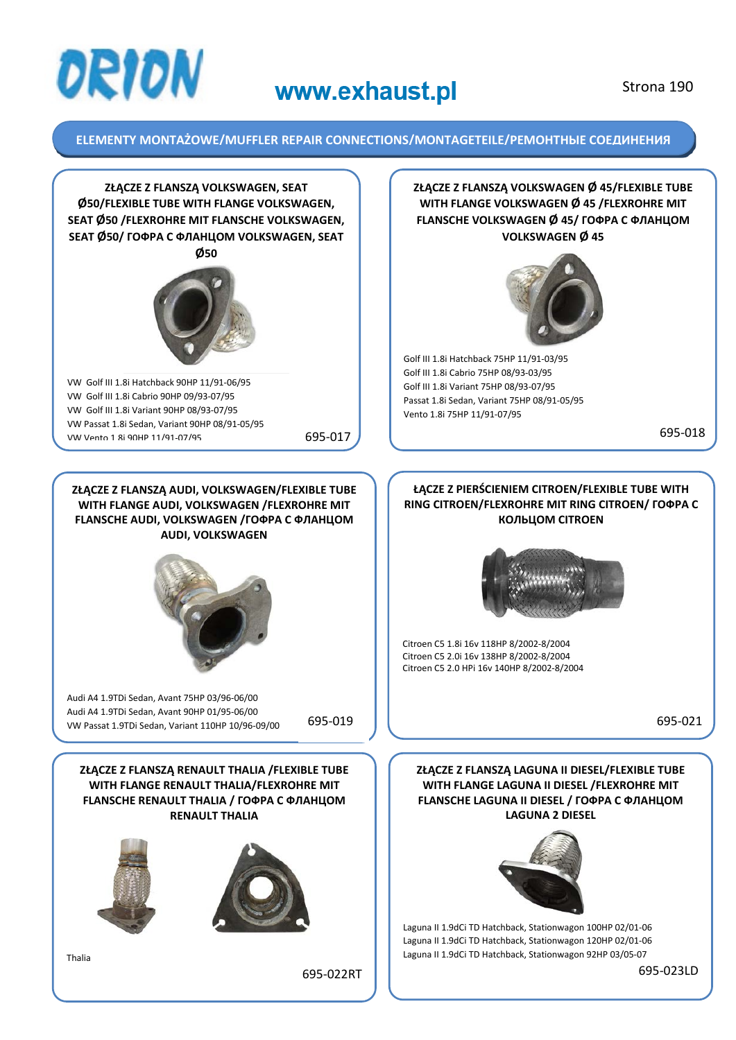

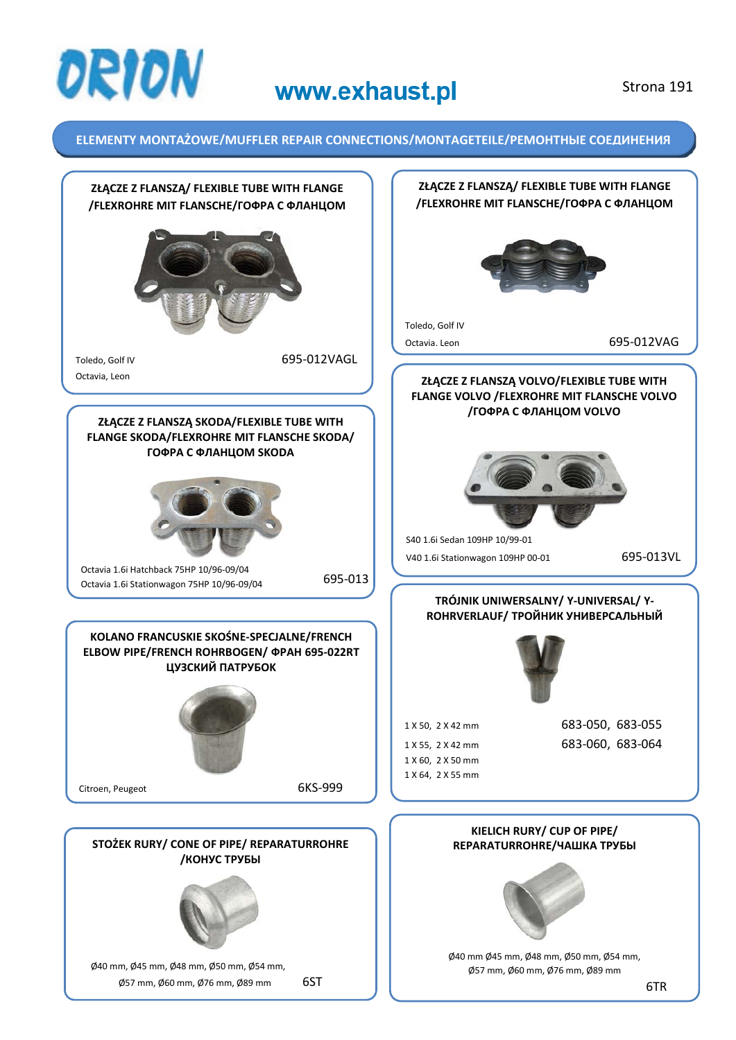![](_page_3_Picture_0.jpeg)

### Strona 191

![](_page_3_Figure_4.jpeg)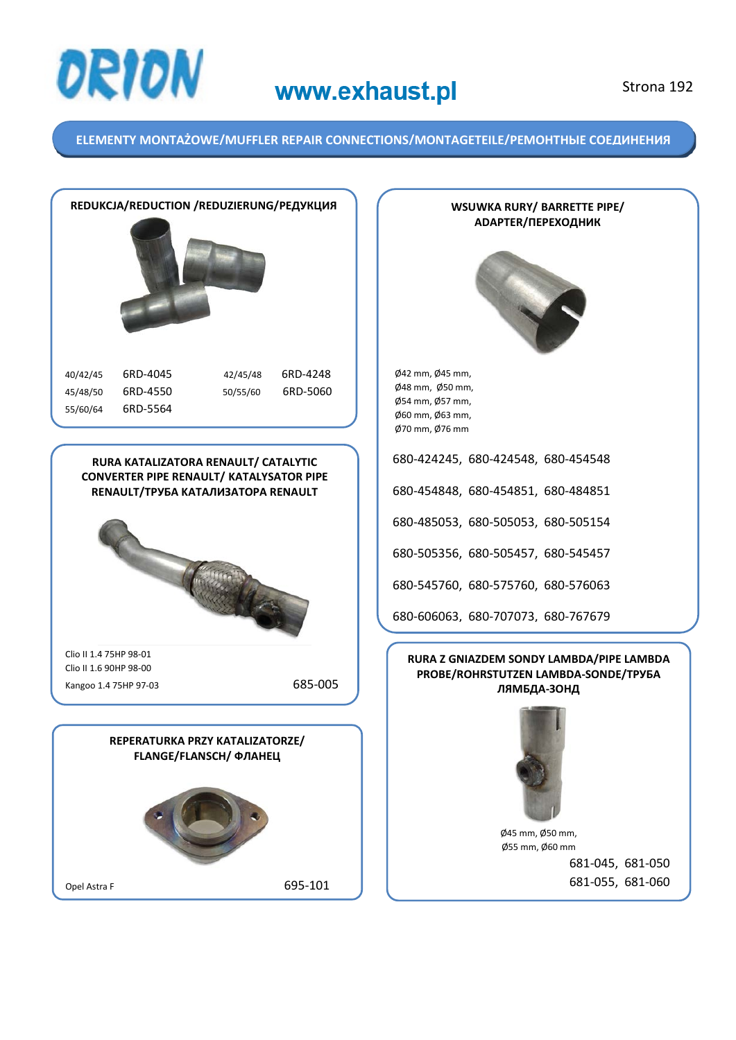![](_page_4_Picture_0.jpeg)

**ELEMENTY MONTAŻOWE/MUFFLER REPAIR CONNECTIONS/MONTAGETEILE/РЕМОНТНЫЕ СОЕДИНЕНИЯ** 

![](_page_4_Picture_4.jpeg)

**WSUWKA RURY/ BARRETTE PIPE/ ADAPTER/ПЕРЕХОДНИК**

![](_page_4_Picture_6.jpeg)

Ø48 mm, Ø50 mm,

680-424245, 680-424548, 680-454548

680-454848, 680-454851, 680-484851

680-485053, 680-505053, 680-505154

680-505356, 680-505457, 680-545457

680-545760, 680-575760, 680-576063

680-606063, 680-707073, 680-767679

### **RURA Z GNIAZDEM SONDY LAMBDA/PIPE LAMBDA PROBE/ROHRSTUTZEN LAMBDA-SONDE/TPУБА ЛЯМБДА-ЗОНД**

![](_page_4_Picture_15.jpeg)

Ø45 mm, Ø50 mm, Ø55 mm, Ø60 mm 681-045, 681-050 681-055, 681-060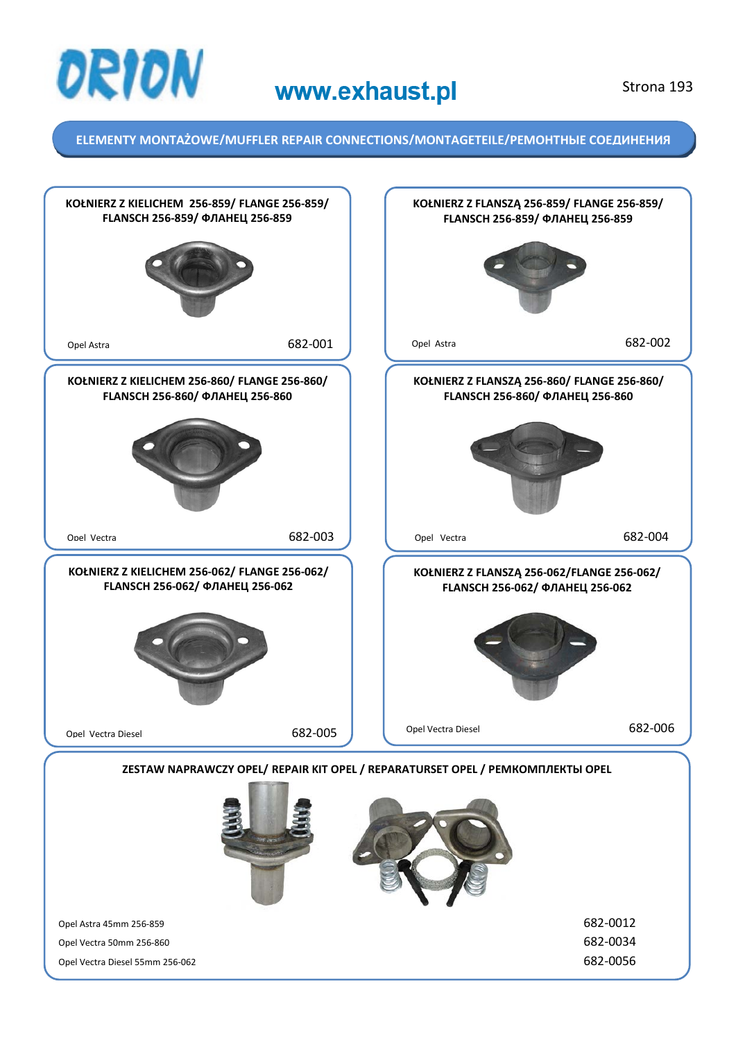![](_page_5_Picture_0.jpeg)

![](_page_5_Figure_4.jpeg)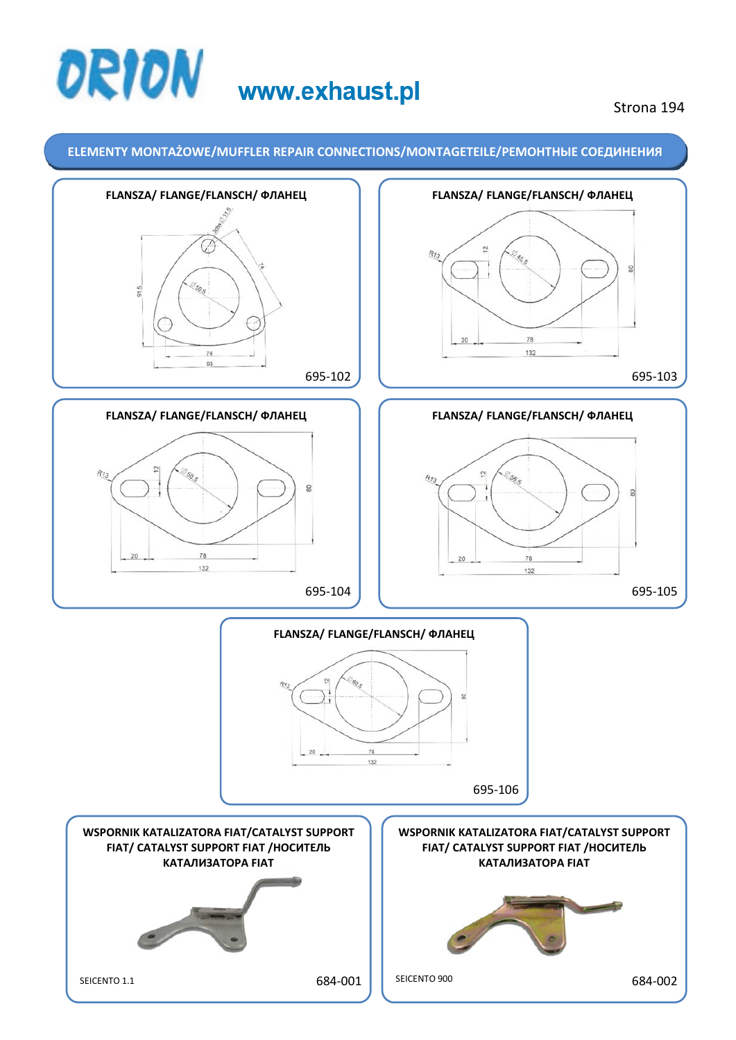# **ORION** www.exhaust.pl

### Strona 194

![](_page_6_Figure_3.jpeg)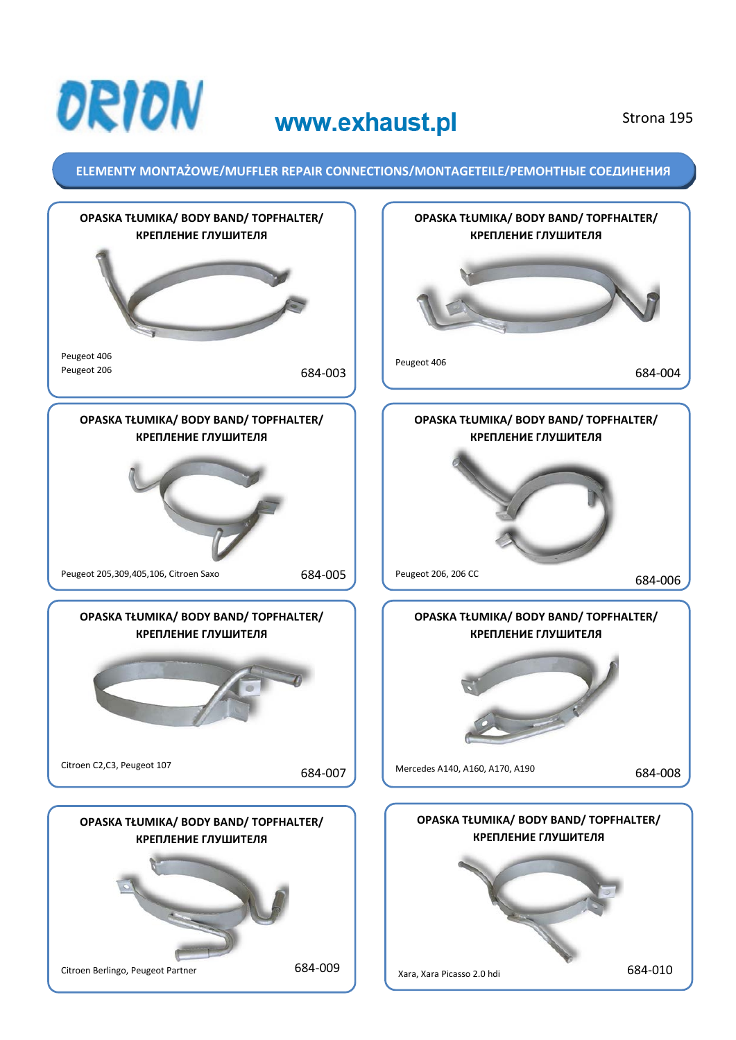![](_page_7_Picture_0.jpeg)

Strona 195

![](_page_7_Figure_4.jpeg)